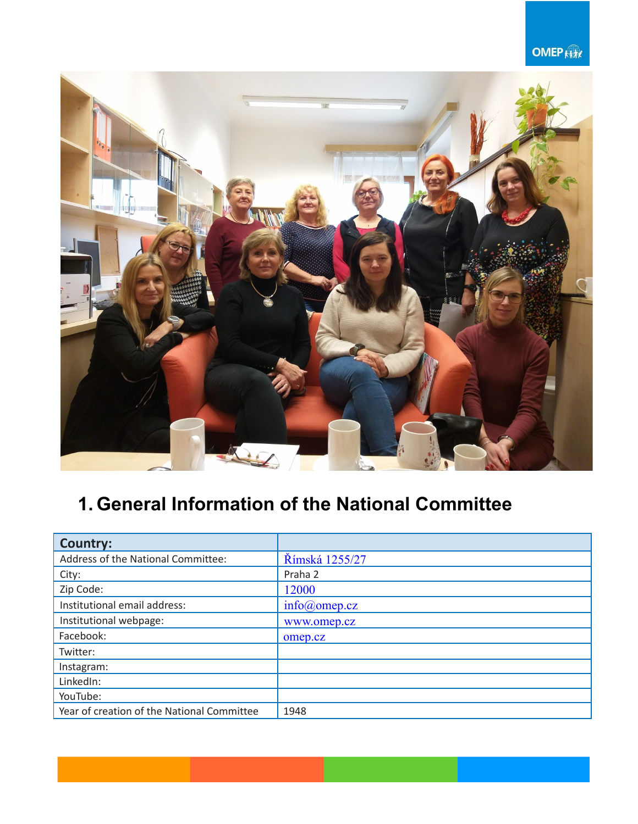### **OMEP**



# **1. General Information of the National Committee**

| <b>Country:</b>                            |                   |
|--------------------------------------------|-------------------|
| Address of the National Committee:         | Římská 1255/27    |
| City:                                      | Praha 2           |
| Zip Code:                                  | 12000             |
| Institutional email address:               | $info(a)$ omep.cz |
| Institutional webpage:                     | www.omep.cz       |
| Facebook:                                  | omep.cz           |
| Twitter:                                   |                   |
| Instagram:                                 |                   |
| LinkedIn:                                  |                   |
| YouTube:                                   |                   |
| Year of creation of the National Committee | 1948              |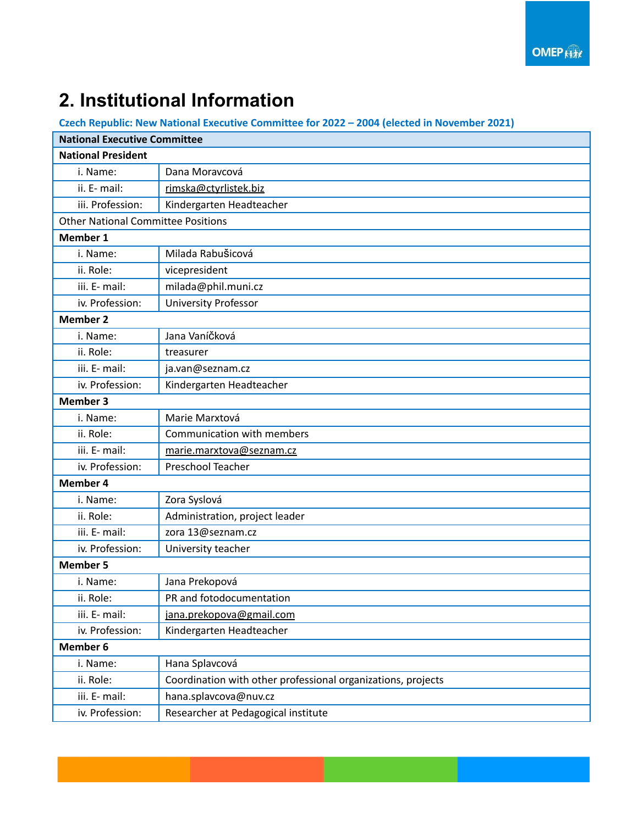## **2. Institutional Information**

**Czech Republic: New National Executive Committee for 2022 – 2004 (elected in November 2021)**

| <b>National Executive Committee</b>       |                                                              |  |
|-------------------------------------------|--------------------------------------------------------------|--|
| <b>National President</b>                 |                                                              |  |
| i. Name:                                  | Dana Moravcová                                               |  |
| ii. E- mail:                              | rimska@ctyrlistek.biz                                        |  |
| iii. Profession:                          | Kindergarten Headteacher                                     |  |
| <b>Other National Committee Positions</b> |                                                              |  |
| Member 1                                  |                                                              |  |
| i. Name:                                  | Milada RabuŠicová                                            |  |
| ii. Role:                                 | vicepresident                                                |  |
| iii. E- mail:                             | milada@phil.muni.cz                                          |  |
| iv. Profession:                           | <b>University Professor</b>                                  |  |
| <b>Member 2</b>                           |                                                              |  |
| i. Name:                                  | Jana Vaníčková                                               |  |
| ii. Role:                                 | treasurer                                                    |  |
| iii. E- mail:                             | ja.van@seznam.cz                                             |  |
| iv. Profession:                           | Kindergarten Headteacher                                     |  |
| <b>Member 3</b>                           |                                                              |  |
| i. Name:                                  | Marie Marxtová                                               |  |
| ii. Role:                                 | Communication with members                                   |  |
| iii. E- mail:                             | marie.marxtova@seznam.cz                                     |  |
| iv. Profession:                           | Preschool Teacher                                            |  |
| <b>Member 4</b>                           |                                                              |  |
| i. Name:                                  | Zora Syslová                                                 |  |
| ii. Role:                                 | Administration, project leader                               |  |
| iii. E- mail:                             | zora 13@seznam.cz                                            |  |
| iv. Profession:                           | University teacher                                           |  |
| <b>Member 5</b>                           |                                                              |  |
| i. Name:                                  | Jana Prekopová                                               |  |
| ii. Role:                                 | PR and fotodocumentation                                     |  |
| iii. E- mail:                             | jana.prekopova@gmail.com                                     |  |
| iv. Profession:                           | Kindergarten Headteacher                                     |  |
| Member 6                                  |                                                              |  |
| i. Name:                                  | Hana Splavcová                                               |  |
| ii. Role:                                 | Coordination with other professional organizations, projects |  |
| iii. E- mail:                             | hana.splavcova@nuv.cz                                        |  |
| iv. Profession:                           | Researcher at Pedagogical institute                          |  |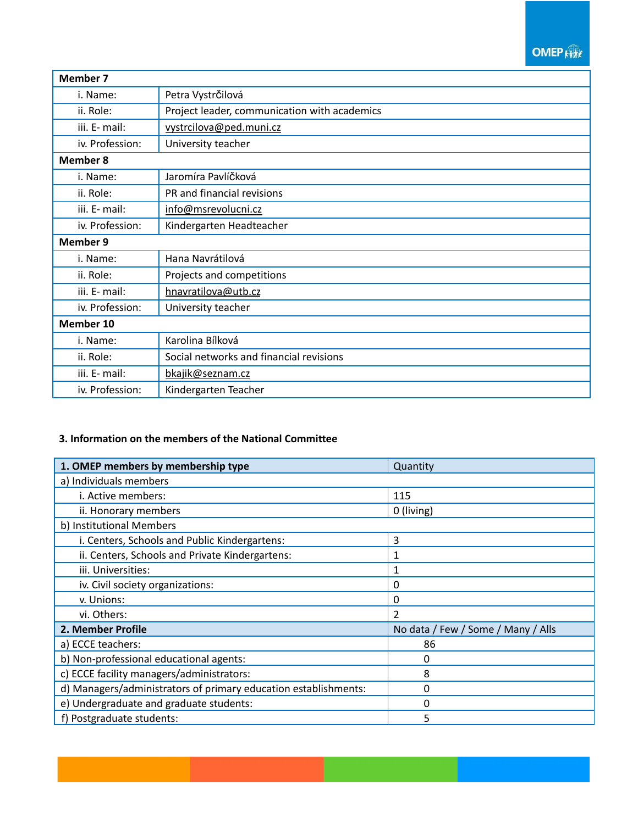### **OMEP**

| <b>Member 7</b> |                                              |  |
|-----------------|----------------------------------------------|--|
| i. Name:        | Petra Vystrčilová                            |  |
| ii. Role:       | Project leader, communication with academics |  |
| iii. E- mail:   | vystrcilova@ped.muni.cz                      |  |
| iv. Profession: | University teacher                           |  |
| <b>Member 8</b> |                                              |  |
| i. Name:        | Jaromíra Pavlíčková                          |  |
| ii. Role:       | PR and financial revisions                   |  |
| iii. E- mail:   | info@msrevolucni.cz                          |  |
| iv. Profession: | Kindergarten Headteacher                     |  |
| <b>Member 9</b> |                                              |  |
| i. Name:        | Hana Navrátilová                             |  |
| ii. Role:       | Projects and competitions                    |  |
| iii. E- mail:   | hnavratilova@utb.cz                          |  |
| iv. Profession: | University teacher                           |  |
| Member 10       |                                              |  |
| i. Name:        | Karolina Bílková                             |  |
| ii. Role:       | Social networks and financial revisions      |  |
| iii. E- mail:   | bkajik@seznam.cz                             |  |
| iv. Profession: | Kindergarten Teacher                         |  |

#### **3. Information on the members of the National Committee**

| 1. OMEP members by membership type                              | Quantity                           |
|-----------------------------------------------------------------|------------------------------------|
| a) Individuals members                                          |                                    |
| i. Active members:                                              | 115                                |
| ii. Honorary members                                            | 0 (living)                         |
| b) Institutional Members                                        |                                    |
| i. Centers, Schools and Public Kindergartens:                   | 3                                  |
| ii. Centers, Schools and Private Kindergartens:                 | 1                                  |
| iii. Universities:                                              | 1                                  |
| iv. Civil society organizations:                                | 0                                  |
| v. Unions:                                                      | 0                                  |
| vi. Others:                                                     | 2                                  |
| 2. Member Profile                                               | No data / Few / Some / Many / Alls |
| a) ECCE teachers:                                               | 86                                 |
| b) Non-professional educational agents:                         | 0                                  |
| c) ECCE facility managers/administrators:                       | 8                                  |
| d) Managers/administrators of primary education establishments: | 0                                  |
| e) Undergraduate and graduate students:                         | 0                                  |
| f) Postgraduate students:                                       | 5                                  |